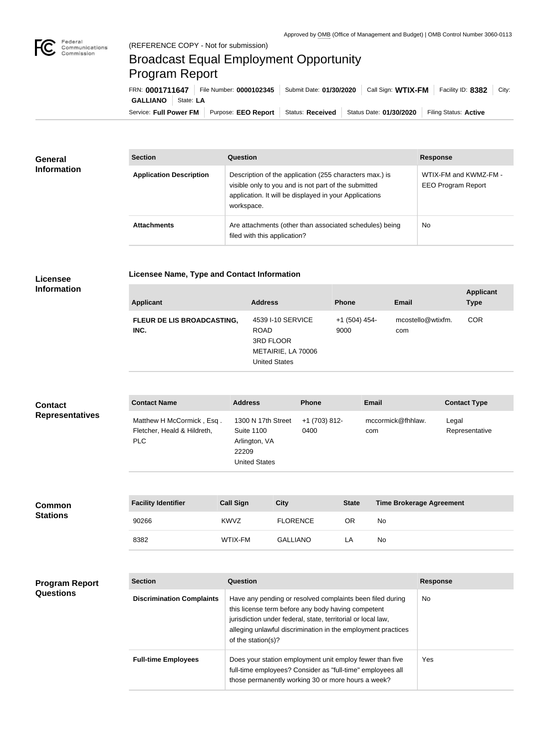

## Broadcast Equal Employment Opportunity Program Report

**Licensee Name, Type and Contact Information**

Service: Full Power FM Purpose: EEO Report | Status: Received | Status Date: 01/30/2020 | Filing Status: Active **GALLIANO** State: **LA** FRN: **0001711647** File Number: **0000102345** Submit Date: **01/30/2020** Call Sign: **WTIX-FM** Facility ID: **8382** City:

| <b>General</b><br><b>Information</b> | <b>Section</b>                 | Question                                                                                                                                                                                | <b>Response</b>                                    |  |
|--------------------------------------|--------------------------------|-----------------------------------------------------------------------------------------------------------------------------------------------------------------------------------------|----------------------------------------------------|--|
|                                      | <b>Application Description</b> | Description of the application (255 characters max.) is<br>visible only to you and is not part of the submitted<br>application. It will be displayed in your Applications<br>workspace. | WTIX-FM and KWMZ-FM -<br><b>EEO Program Report</b> |  |
|                                      | <b>Attachments</b>             | Are attachments (other than associated schedules) being<br>filed with this application?                                                                                                 | <b>No</b>                                          |  |

## **Licensee Information**

| <b>Applicant</b>                   | <b>Address</b>                                                                              | <b>Phone</b>            | <b>Email</b>             | <b>Applicant</b><br><b>Type</b> |
|------------------------------------|---------------------------------------------------------------------------------------------|-------------------------|--------------------------|---------------------------------|
| FLEUR DE LIS BROADCASTING,<br>INC. | 4539 I-10 SERVICE<br><b>ROAD</b><br>3RD FLOOR<br>METAIRIE, LA 70006<br><b>United States</b> | $+1$ (504) 454-<br>9000 | mcostello@wtixfm.<br>com | <b>COR</b>                      |

| <b>Contact</b>         | <b>Contact Name</b>                                              | <b>Address</b>                                                                            | <b>Phone</b>          | Email                    | <b>Contact Type</b>     |
|------------------------|------------------------------------------------------------------|-------------------------------------------------------------------------------------------|-----------------------|--------------------------|-------------------------|
| <b>Representatives</b> | Matthew H McCormick, Esq.<br>Fletcher, Heald & Hildreth,<br>PLC. | 1300 N 17th Street<br><b>Suite 1100</b><br>Arlington, VA<br>22209<br><b>United States</b> | +1 (703) 812-<br>0400 | mccormick@fhhlaw.<br>com | Legal<br>Representative |

| <b>Common</b><br><b>Stations</b> | <b>Facility Identifier</b> | <b>Call Sign</b> | <b>City</b>     | <b>State</b> | <b>Time Brokerage Agreement</b> |
|----------------------------------|----------------------------|------------------|-----------------|--------------|---------------------------------|
|                                  | 90266                      | <b>KWVZ</b>      | <b>FLORENCE</b> | OR           | No                              |
|                                  | 8382                       | WTIX-FM          | <b>GALLIANO</b> | LA.          | No                              |

| <b>Program Report</b><br><b>Questions</b> | <b>Section</b>                   | Question                                                                                                                                                                                                                                                              | <b>Response</b> |
|-------------------------------------------|----------------------------------|-----------------------------------------------------------------------------------------------------------------------------------------------------------------------------------------------------------------------------------------------------------------------|-----------------|
|                                           | <b>Discrimination Complaints</b> | Have any pending or resolved complaints been filed during<br>this license term before any body having competent<br>jurisdiction under federal, state, territorial or local law,<br>alleging unlawful discrimination in the employment practices<br>of the station(s)? | <b>No</b>       |
|                                           | <b>Full-time Employees</b>       | Does your station employment unit employ fewer than five<br>full-time employees? Consider as "full-time" employees all<br>those permanently working 30 or more hours a week?                                                                                          | Yes             |